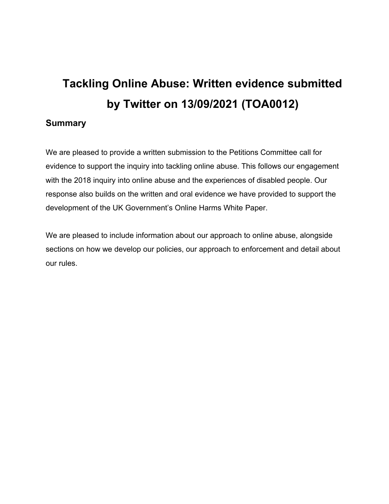# **Tackling Online Abuse: Written evidence submitted by Twitter on 13/09/2021 (TOA0012)**

## **Summary**

We are pleased to provide a written submission to the Petitions Committee call for evidence to support the inquiry into tackling online abuse. This follows our engagement with the 2018 inquiry into online abuse and the experiences of disabled people. Our response also builds on the written and oral evidence we have provided to support the development of the UK Government's Online Harms White Paper.

We are pleased to include information about our approach to online abuse, alongside sections on how we develop our policies, our approach to enforcement and detail about our rules.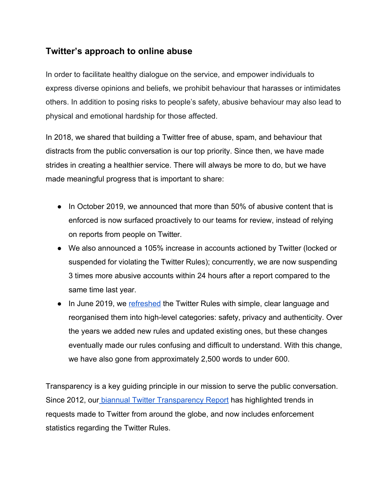## **Twitter's approach to online abuse**

In order to facilitate healthy dialogue on the service, and empower individuals to express diverse opinions and beliefs, we prohibit behaviour that harasses or intimidates others. In addition to posing risks to people's safety, abusive behaviour may also lead to physical and emotional hardship for those affected.

In 2018, we shared that building a Twitter free of abuse, spam, and behaviour that distracts from the public conversation is our top priority. Since then, we have made strides in creating a healthier service. There will always be more to do, but we have made meaningful progress that is important to share:

- In October 2019, we announced that more than 50% of abusive content that is enforced is now surfaced proactively to our teams for review, instead of relying on reports from people on Twitter.
- We also announced a 105% increase in accounts actioned by Twitter (locked or suspended for violating the Twitter Rules); concurrently, we are now suspending 3 times more abusive accounts within 24 hours after a report compared to the same time last year.
- In June 2019, we [refreshed](https://blog.twitter.com/en_us/topics/company/2019/rules-refresh.html) the Twitter Rules with simple, clear language and reorganised them into high-level categories: safety, privacy and authenticity. Over the years we added new rules and updated existing ones, but these changes eventually made our rules confusing and difficult to understand. With this change, we have also gone from approximately 2,500 words to under 600.

Transparency is a key guiding principle in our mission to serve the public conversation. Since 2012, our [biannual](https://transparency.twitter.com/en.html) [Twitter](https://transparency.twitter.com/en.html) [Transparency](https://transparency.twitter.com/en.html) [Report](https://transparency.twitter.com/en.html) has highlighted trends in requests made to Twitter from around the globe, and now includes enforcement statistics regarding the Twitter Rules.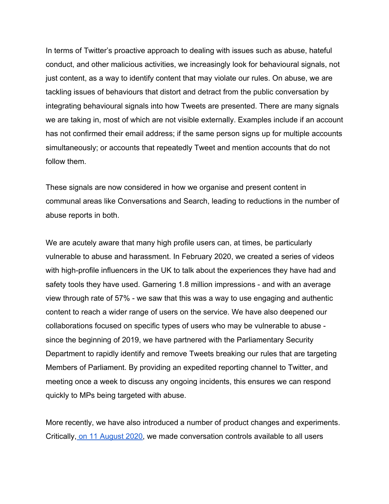In terms of Twitter's proactive approach to dealing with issues such as abuse, hateful conduct, and other malicious activities, we increasingly look for behavioural signals, not just content, as a way to identify content that may violate our rules. On abuse, we are tackling issues of behaviours that distort and detract from the public conversation by integrating behavioural signals into how Tweets are presented. There are many signals we are taking in, most of which are not visible externally. Examples include if an account has not confirmed their email address; if the same person signs up for multiple accounts simultaneously; or accounts that repeatedly Tweet and mention accounts that do not follow them.

These signals are now considered in how we organise and present content in communal areas like Conversations and Search, leading to reductions in the number of abuse reports in both.

We are acutely aware that many high profile users can, at times, be particularly vulnerable to abuse and harassment. In February 2020, we created a series of videos with high-profile influencers in the UK to talk about the experiences they have had and safety tools they have used. Garnering 1.8 million impressions - and with an average view through rate of 57% - we saw that this was a way to use engaging and authentic content to reach a wider range of users on the service. We have also deepened our collaborations focused on specific types of users who may be vulnerable to abuse since the beginning of 2019, we have partnered with the Parliamentary Security Department to rapidly identify and remove Tweets breaking our rules that are targeting Members of Parliament. By providing an expedited reporting channel to Twitter, and meeting once a week to discuss any ongoing incidents, this ensures we can respond quickly to MPs being targeted with abuse.

More recently, we have also introduced a number of product changes and experiments. Critically, [on](https://blog.twitter.com/en_us/topics/product/2020/new-conversation-settings-coming-to-a-tweet-near-you.html) [11](https://blog.twitter.com/en_us/topics/product/2020/new-conversation-settings-coming-to-a-tweet-near-you.html) [August](https://blog.twitter.com/en_us/topics/product/2020/new-conversation-settings-coming-to-a-tweet-near-you.html) [2020,](https://blog.twitter.com/en_us/topics/product/2020/new-conversation-settings-coming-to-a-tweet-near-you.html) we made conversation controls available to all users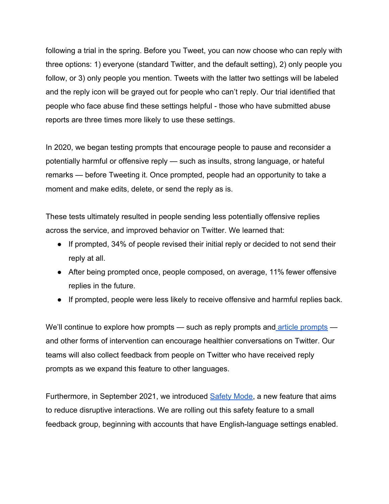following a trial in the spring. Before you Tweet, you can now choose who can reply with three options: 1) everyone (standard Twitter, and the default setting), 2) only people you follow, or 3) only people you mention. Tweets with the latter two settings will be labeled and the reply icon will be grayed out for people who can't reply. Our trial identified that people who face abuse find these settings helpful - those who have submitted abuse reports are three times more likely to use these settings.

In 2020, we began testing prompts that encourage people to pause and reconsider a potentially harmful or offensive reply — such as insults, strong language, or hateful remarks — before Tweeting it. Once prompted, people had an opportunity to take a moment and make edits, delete, or send the reply as is.

These tests ultimately resulted in people sending less potentially offensive replies across the service, and improved behavior on Twitter. We learned that:

- If prompted, 34% of people revised their initial reply or decided to not send their reply at all.
- After being prompted once, people composed, on average, 11% fewer offensive replies in the future.
- If prompted, people were less likely to receive offensive and harmful replies back.

We'll continue to explore how prompts — such as reply prompts and [article](https://twitter.com/Twitter/status/1319006269785755648) [prompts](https://twitter.com/Twitter/status/1319006269785755648)  and other forms of intervention can encourage healthier conversations on Twitter. Our teams will also collect feedback from people on Twitter who have received reply prompts as we expand this feature to other languages.

Furthermore, in September 2021, we introduced [Safety](https://blog.twitter.com/en_us/topics/product/2021/introducing-safety-mode) [Mode](https://blog.twitter.com/en_us/topics/product/2021/introducing-safety-mode), a new feature that aims to reduce disruptive interactions. We are rolling out this safety feature to a small feedback group, beginning with accounts that have English-language settings enabled.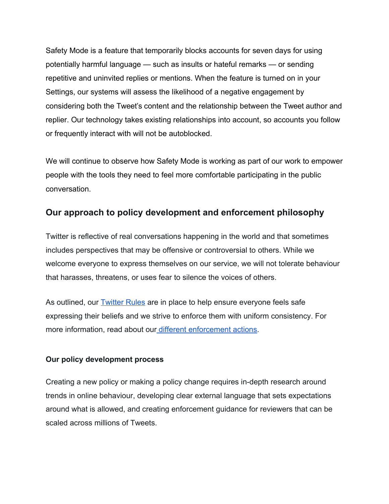Safety Mode is a feature that temporarily blocks accounts for seven days for using potentially harmful language — such as insults or hateful remarks — or sending repetitive and uninvited replies or mentions. When the feature is turned on in your Settings, our systems will assess the likelihood of a negative engagement by considering both the Tweet's content and the relationship between the Tweet author and replier. Our technology takes existing relationships into account, so accounts you follow or frequently interact with will not be autoblocked.

We will continue to observe how Safety Mode is working as part of our work to empower people with the tools they need to feel more comfortable participating in the public conversation.

## **Our approach to policy development and enforcement philosophy**

Twitter is reflective of real conversations happening in the world and that sometimes includes perspectives that may be offensive or controversial to others. While we welcome everyone to express themselves on our service, we will not tolerate behaviour that harasses, threatens, or uses fear to silence the voices of others.

As outlined, our [Twitter](https://help.twitter.com/en/rules-and-policies/twitter-rules.html) [Rules](https://help.twitter.com/en/rules-and-policies/twitter-rules.html) are in place to help ensure everyone feels safe expressing their beliefs and we strive to enforce them with uniform consistency. For more information, read about our [different](https://support.twitter.com/articles/20175435) [enforcement](https://support.twitter.com/articles/20175435) [actions.](https://support.twitter.com/articles/20175435)

### **Our policy development process**

Creating a new policy or making a policy change requires in-depth research around trends in online behaviour, developing clear external language that sets expectations around what is allowed, and creating enforcement guidance for reviewers that can be scaled across millions of Tweets.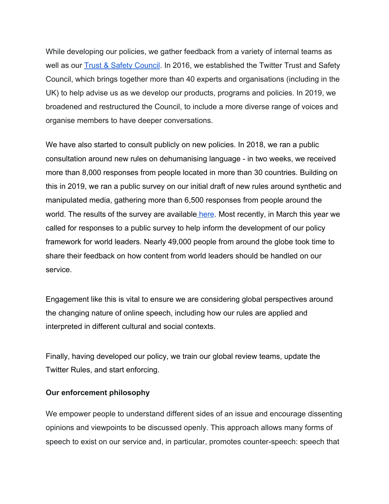While developing our policies, we gather feedback from a variety of internal teams as well as our **[Trust](https://about.twitter.com/en_gb/safety/safety-partners.html#Trust-council) [&](https://about.twitter.com/en_gb/safety/safety-partners.html#Trust-council) [Safety](https://about.twitter.com/en_gb/safety/safety-partners.html#Trust-council) Council**. In 2016, we established the Twitter Trust and Safety Council, which brings together more than 40 experts and organisations (including in the UK) to help advise us as we develop our products, programs and policies. In 2019, we broadened and restructured the Council, to include a more diverse range of voices and organise members to have deeper conversations.

We have also started to consult publicly on new policies. In 2018, we ran a public consultation around new rules on dehumanising language - in two weeks, we received more than 8,000 responses from people located in more than 30 countries. Building on this in 2019, we ran a public survey on our initial draft of new rules around synthetic and manipulated media, gathering more than 6,500 responses from people around the world. The results of the survey are available [here](https://blog.twitter.com/en_us/topics/company/2020/new-approach-to-synthetic-and-manipulated-media.html). Most recently, in March this year we called for responses to a public survey to help inform the development of our policy framework for world leaders. Nearly 49,000 people from around the globe took time to share their feedback on how content from world leaders should be handled on our service.

Engagement like this is vital to ensure we are considering global perspectives around the changing nature of online speech, including how our rules are applied and interpreted in different cultural and social contexts.

Finally, having developed our policy, we train our global review teams, update the Twitter Rules, and start enforcing.

#### **Our enforcement philosophy**

We empower people to understand different sides of an issue and encourage dissenting opinions and viewpoints to be discussed openly. This approach allows many forms of speech to exist on our service and, in particular, promotes counter-speech: speech that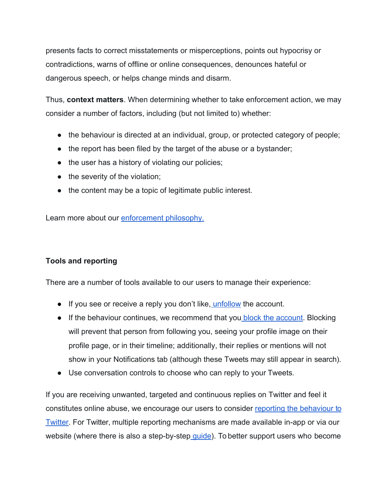presents facts to correct misstatements or misperceptions, points out hypocrisy or contradictions, warns of offline or online consequences, denounces hateful or dangerous speech, or helps change minds and disarm.

Thus, **context matters**. When determining whether to take enforcement action, we may consider a number of factors, including (but not limited to) whether:

- the behaviour is directed at an individual, group, or protected category of people;
- the report has been filed by the target of the abuse or a bystander;
- the user has a history of violating our policies;
- the severity of the violation;
- the content may be a topic of legitimate public interest.

Learn more about our [enforcement](https://help.twitter.com/en/rules-and-policies/enforcement-philosophy) [philosophy.](https://help.twitter.com/en/rules-and-policies/enforcement-philosophy)

### **Tools and reporting**

There are a number of tools available to our users to manage their experience:

- If you see or receive a reply you don't like, [unfollow](https://help.twitter.com/en/using-twitter/how-to-unfollow-on-twitter) the account.
- If the behaviour continues, we recommend that you [block](https://help.twitter.com/en/using-twitter/blocking-and-unblocking-accounts) [the](https://help.twitter.com/en/using-twitter/blocking-and-unblocking-accounts) [account.](https://help.twitter.com/en/using-twitter/blocking-and-unblocking-accounts) Blocking will prevent that person from following you, seeing your profile image on their profile page, or in their timeline; additionally, their replies or mentions will not show in your Notifications tab (although these Tweets may still appear in search).
- Use conversation controls to choose who can reply to your Tweets.

If you are receiving unwanted, targeted and continuous replies on Twitter and feel it constitutes online abuse, we encourage our users to consider [reporting](https://help.twitter.com/forms/abusiveuser) [the](https://help.twitter.com/forms/abusiveuser) [behaviour](https://help.twitter.com/forms/abusiveuser) to [Twitter.](https://help.twitter.com/forms/abusiveuser) For Twitter, multiple reporting mechanisms are made available in-app or via our website (where there is also a step-by-step quide). To better support users who become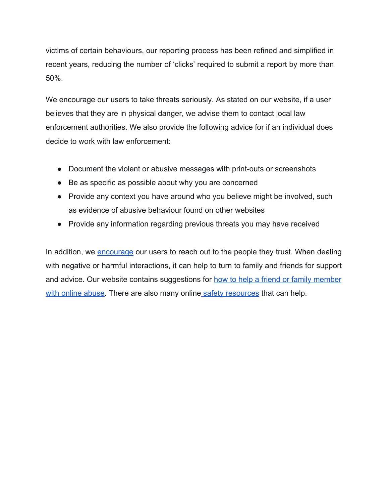victims of certain behaviours, our reporting process has been refined and simplified in recent years, reducing the number of 'clicks' required to submit a report by more than 50%.

We encourage our users to take threats seriously. As stated on our website, if a user believes that they are in physical danger, we advise them to contact local law enforcement authorities. We also provide the following advice for if an individual does decide to work with law enforcement:

- Document the violent or abusive messages with print-outs or screenshots
- Be as specific as possible about why you are concerned
- Provide any context you have around who you believe might be involved, such as evidence of abusive behaviour found on other websites
- Provide any information regarding previous threats you may have received

In addition, we [encourage](https://help.twitter.com/en/safety-and-security/cyber-bullying-and-online-abuse) our users to reach out to the people they trust. When dealing with negative or harmful interactions, it can help to turn to family and friends for support and advice. Our website contains suggestions for [how](https://help.twitter.com/en/safety-and-security/helping-with-online-abuse) [to](https://help.twitter.com/en/safety-and-security/helping-with-online-abuse) [help](https://help.twitter.com/en/safety-and-security/helping-with-online-abuse) [a](https://help.twitter.com/en/safety-and-security/helping-with-online-abuse) [friend](https://help.twitter.com/en/safety-and-security/helping-with-online-abuse) [or](https://help.twitter.com/en/safety-and-security/helping-with-online-abuse) [family](https://help.twitter.com/en/safety-and-security/helping-with-online-abuse) [member](https://help.twitter.com/en/safety-and-security/helping-with-online-abuse) [with](https://help.twitter.com/en/safety-and-security/helping-with-online-abuse) [online](https://help.twitter.com/en/safety-and-security/helping-with-online-abuse) [abuse.](https://help.twitter.com/en/safety-and-security/helping-with-online-abuse) There are also many online [safety](https://about.twitter.com/en_us/safety/safety-partners.html) [resources](https://about.twitter.com/en_us/safety/safety-partners.html) that can help.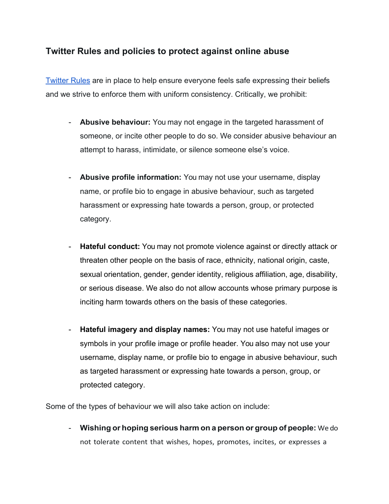## **Twitter Rules and policies to protect against online abuse**

[Twitter](https://help.twitter.com/en/rules-and-policies/twitter-rules.html) [Rules](https://help.twitter.com/en/rules-and-policies/twitter-rules.html) are in place to help ensure everyone feels safe expressing their beliefs and we strive to enforce them with uniform consistency. Critically, we prohibit:

- **Abusive behaviour:** You may not engage in the targeted harassment of someone, or incite other people to do so. We consider abusive behaviour an attempt to harass, intimidate, or silence someone else's voice.
- **Abusive profile information:** You may not use your username, display name, or profile bio to engage in abusive behaviour, such as targeted harassment or expressing hate towards a person, group, or protected category.
- **Hateful conduct:** You may not promote violence against or directly attack or threaten other people on the basis of race, ethnicity, national origin, caste, sexual orientation, gender, gender identity, religious affiliation, age, disability, or serious disease. We also do not allow accounts whose primary purpose is inciting harm towards others on the basis of these categories.
- **Hateful imagery and display names:** You may not use hateful images or symbols in your profile image or profile header. You also may not use your username, display name, or profile bio to engage in abusive behaviour, such as targeted harassment or expressing hate towards a person, group, or protected category.

Some of the types of behaviour we will also take action on include:

- **Wishing or hoping serious harm on a person or group of people:** We do not tolerate content that wishes, hopes, promotes, incites, or expresses a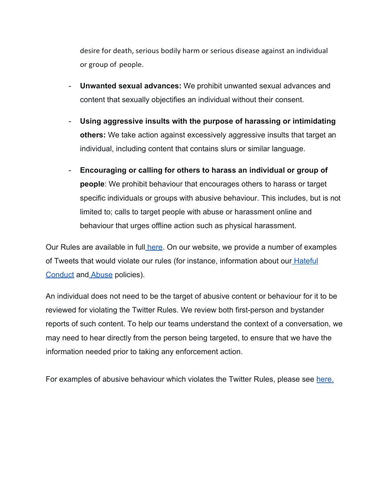desire for death, serious bodily harm or serious disease against an individual or group of people.

- **Unwanted sexual advances:** We prohibit unwanted sexual advances and content that sexually objectifies an individual without their consent.
- **Using aggressive insults with the purpose of harassing or intimidating others:** We take action against excessively aggressive insults that target an individual, including content that contains slurs or similar language.
- **Encouraging or calling for others to harass an individual or group of people**: We prohibit behaviour that encourages others to harass or target specific individuals or groups with abusive behaviour. This includes, but is not limited to; calls to target people with abuse or harassment online and behaviour that urges offline action such as physical harassment.

Our Rules are available in full [here](https://help.twitter.com/en/rules-and-policies/twitter-rules). On our website, we provide a number of examples of Tweets that would violate our rules (for instance, information about our **[Hateful](https://help.twitter.com/en/rules-and-policies/hateful-conduct-policy)** [Conduct](https://help.twitter.com/en/rules-and-policies/hateful-conduct-policy) and [Abuse](https://help.twitter.com/en/rules-and-policies/abusive-behavior) policies).

An individual does not need to be the target of abusive content or behaviour for it to be reviewed for violating the Twitter Rules. We review both first-person and bystander reports of such content. To help our teams understand the context of a conversation, we may need to hear directly from the person being targeted, to ensure that we have the information needed prior to taking any enforcement action.

For examples of abusive behaviour which violates the Twitter Rules, please see [here.](https://help.twitter.com/en/rules-and-policies/abusive-behavior)